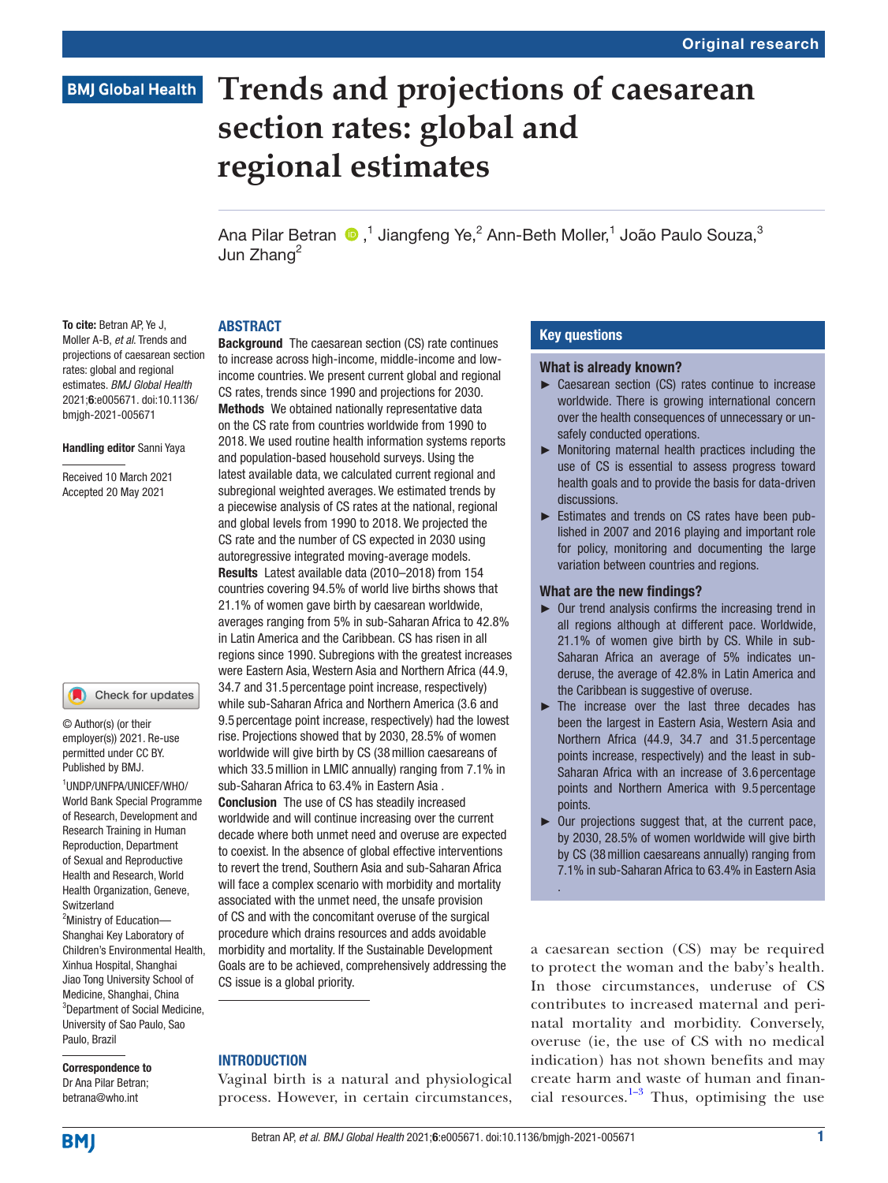## **BMJ Global Health**

# **Trends and projections of caesarean section rates: global and regional estimates**

Ana Pilar Betran  $\bigcirc$  ,<sup>1</sup> Jiangfeng Ye,<sup>2</sup> Ann-Beth Moller,<sup>1</sup> João Paulo Souza,<sup>3</sup> Jun Zhang<sup>2</sup>

#### ABSTRACT

To cite: Betran AP, Ye J. Moller A-B, *et al*. Trends and projections of caesarean section rates: global and regional estimates. *BMJ Global Health* 2021;6:e005671. doi:10.1136/ bmjgh-2021-005671

#### Handling editor Sanni Yaya

Received 10 March 2021 Accepted 20 May 2021

#### Check for updates O

© Author(s) (or their employer(s)) 2021. Re-use permitted under CC BY. Published by BMJ.

1 UNDP/UNFPA/UNICEF/WHO/ World Bank Special Programme of Research, Development and Research Training in Human Reproduction, Department of Sexual and Reproductive Health and Research, World Health Organization, Geneve, Switzerland

<sup>2</sup>Ministry of Education-Shanghai Key Laboratory of Children's Environmental Health, Xinhua Hospital, Shanghai Jiao Tong University School of Medicine, Shanghai, China <sup>3</sup>Department of Social Medicine, University of Sao Paulo, Sao Paulo, Brazil

Correspondence to Dr Ana Pilar Betran; betrana@who.int

**Background** The caesarean section (CS) rate continues to increase across high-income, middle-income and lowincome countries. We present current global and regional CS rates, trends since 1990 and projections for 2030. Methods We obtained nationally representative data on the CS rate from countries worldwide from 1990 to 2018. We used routine health information systems reports and population-based household surveys. Using the latest available data, we calculated current regional and subregional weighted averages. We estimated trends by a piecewise analysis of CS rates at the national, regional and global levels from 1990 to 2018. We projected the CS rate and the number of CS expected in 2030 using autoregressive integrated moving-average models. Results Latest available data (2010–2018) from 154 countries covering 94.5% of world live births shows that 21.1% of women gave birth by caesarean worldwide, averages ranging from 5% in sub-Saharan Africa to 42.8% in Latin America and the Caribbean. CS has risen in all regions since 1990. Subregions with the greatest increases were Eastern Asia, Western Asia and Northern Africa (44.9, 34.7 and 31.5 percentage point increase, respectively) while sub-Saharan Africa and Northern America (3.6 and 9.5 percentage point increase, respectively) had the lowest rise. Projections showed that by 2030, 28.5% of women worldwide will give birth by CS (38million caesareans of which 33.5million in LMIC annually) ranging from 7.1% in sub-Saharan Africa to 63.4% in Eastern Asia . Conclusion The use of CS has steadily increased worldwide and will continue increasing over the current decade where both unmet need and overuse are expected to coexist. In the absence of global effective interventions to revert the trend, Southern Asia and sub-Saharan Africa will face a complex scenario with morbidity and mortality associated with the unmet need, the unsafe provision of CS and with the concomitant overuse of the surgical procedure which drains resources and adds avoidable morbidity and mortality. If the Sustainable Development Goals are to be achieved, comprehensively addressing the CS issue is a global priority.

#### INTRODUCTION

Vaginal birth is a natural and physiological process. However, in certain circumstances,

### Key questions

#### What is already known?

- ► Caesarean section (CS) rates continue to increase worldwide. There is growing international concern over the health consequences of unnecessary or unsafely conducted operations.
- ► Monitoring maternal health practices including the use of CS is essential to assess progress toward health goals and to provide the basis for data-driven discussions.
- ► Estimates and trends on CS rates have been published in 2007 and 2016 playing and important role for policy, monitoring and documenting the large variation between countries and regions.

#### What are the new findings?

.

- ► Our trend analysis confirms the increasing trend in all regions although at different pace. Worldwide, 21.1% of women give birth by CS. While in sub-Saharan Africa an average of 5% indicates underuse, the average of 42.8% in Latin America and the Caribbean is suggestive of overuse.
- ► The increase over the last three decades has been the largest in Eastern Asia, Western Asia and Northern Africa (44.9, 34.7 and 31.5 percentage points increase, respectively) and the least in sub-Saharan Africa with an increase of 3.6 percentage points and Northern America with 9.5 percentage points.
- ► Our projections suggest that, at the current pace, by 2030, 28.5% of women worldwide will give birth by CS (38million caesareans annually) ranging from 7.1% in sub-Saharan Africa to 63.4% in Eastern Asia

a caesarean section (CS) may be required to protect the woman and the baby's health. In those circumstances, underuse of CS contributes to increased maternal and perinatal mortality and morbidity. Conversely, overuse (ie, the use of CS with no medical indication) has not shown benefits and may create harm and waste of human and financial resources. $1-3$  Thus, optimising the use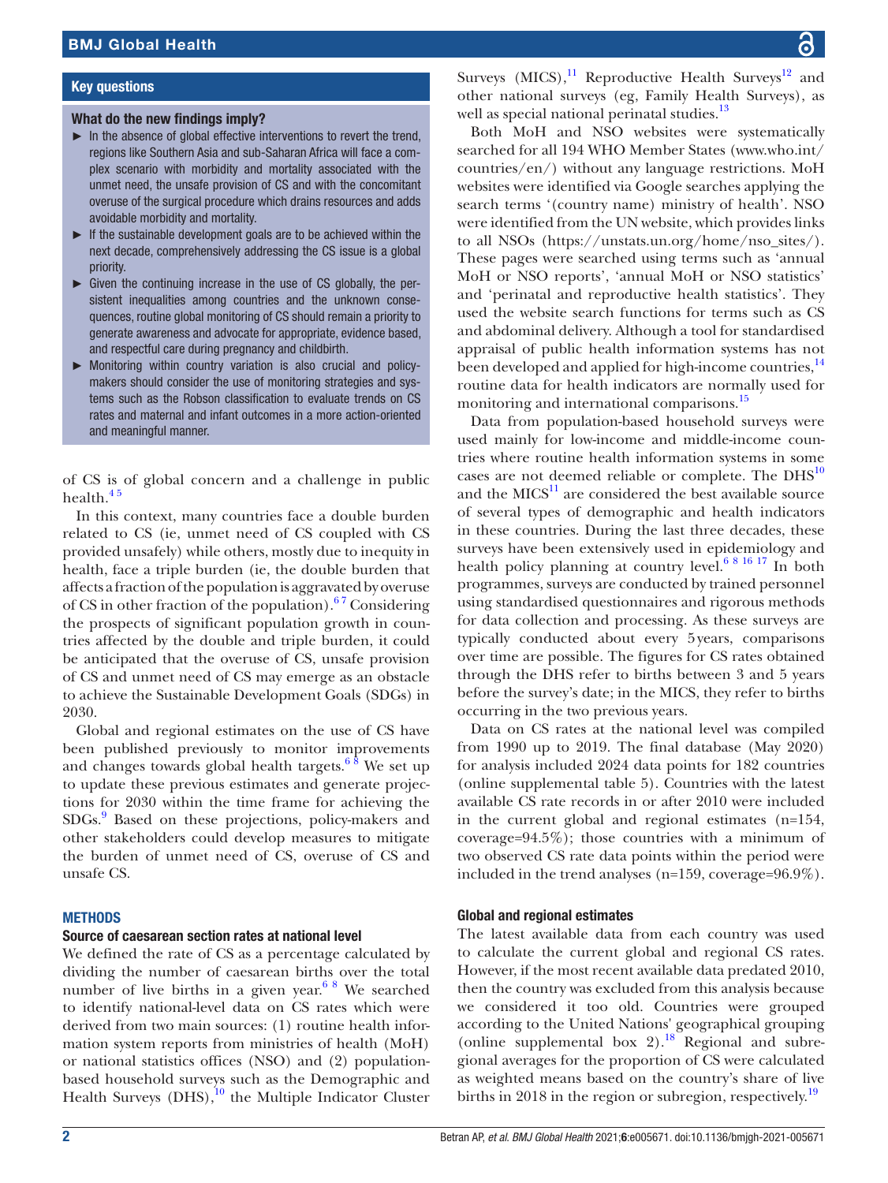## Key questions

## What do the new findings imply?

- $\blacktriangleright$  In the absence of global effective interventions to revert the trend, regions like Southern Asia and sub-Saharan Africa will face a complex scenario with morbidity and mortality associated with the unmet need, the unsafe provision of CS and with the concomitant overuse of the surgical procedure which drains resources and adds avoidable morbidity and mortality.
- ► If the sustainable development goals are to be achieved within the next decade, comprehensively addressing the CS issue is a global priority.
- $\triangleright$  Given the continuing increase in the use of CS globally, the persistent inequalities among countries and the unknown consequences, routine global monitoring of CS should remain a priority to generate awareness and advocate for appropriate, evidence based, and respectful care during pregnancy and childbirth.
- ► Monitoring within country variation is also crucial and policymakers should consider the use of monitoring strategies and systems such as the Robson classification to evaluate trends on CS rates and maternal and infant outcomes in a more action-oriented and meaningful manner.

of CS is of global concern and a challenge in public health.<sup>45</sup>

In this context, many countries face a double burden related to CS (ie, unmet need of CS coupled with CS provided unsafely) while others, mostly due to inequity in health, face a triple burden (ie, the double burden that affects a fraction of the population is aggravated by overuse of CS in other fraction of the population). $67$  Considering the prospects of significant population growth in countries affected by the double and triple burden, it could be anticipated that the overuse of CS, unsafe provision of CS and unmet need of CS may emerge as an obstacle to achieve the Sustainable Development Goals (SDGs) in 2030.

Global and regional estimates on the use of CS have been published previously to monitor improvements and changes towards global health targets.<sup>6  $\frac{8}{3}$ </sup> We set up to update these previous estimates and generate projections for 2030 within the time frame for achieving the SDGs[.9](#page-7-3) Based on these projections, policy-makers and other stakeholders could develop measures to mitigate the burden of unmet need of CS, overuse of CS and unsafe CS.

## **METHODS**

## Source of caesarean section rates at national level

We defined the rate of CS as a percentage calculated by dividing the number of caesarean births over the total number of live births in a given year.<sup>6 8</sup> We searched to identify national-level data on CS rates which were derived from two main sources: (1) routine health information system reports from ministries of health (MoH) or national statistics offices (NSO) and (2) populationbased household surveys such as the Demographic and Health Surveys  $(DHS),<sup>10</sup>$  the Multiple Indicator Cluster

Surveys (MICS), $^{11}$  Reproductive Health Surveys<sup>12</sup> and other national surveys (eg, Family Health Surveys), as well as special national perinatal studies.<sup>13</sup>

Both MoH and NSO websites were systematically searched for all 194 WHO Member States ([www.who.int/](www.who.int/countries/en/) [countries/en/](www.who.int/countries/en/)) without any language restrictions. MoH websites were identified via Google searches applying the search terms '(country name) ministry of health'. NSO were identified from the UN website, which provides links to all NSOs [\(https://unstats.un.org/home/nso\\_sites/](https://unstats.un.org/home/nso_sites/)). These pages were searched using terms such as 'annual MoH or NSO reports', 'annual MoH or NSO statistics' and 'perinatal and reproductive health statistics'. They used the website search functions for terms such as CS and abdominal delivery. Although a tool for standardised appraisal of public health information systems has not been developed and applied for high-income countries,<sup>[14](#page-7-8)</sup> routine data for health indicators are normally used for monitoring and international comparisons.<sup>[15](#page-7-9)</sup>

Data from population-based household surveys were used mainly for low-income and middle-income countries where routine health information systems in some cases are not deemed reliable or complete. The  $DHS<sup>10</sup>$  $DHS<sup>10</sup>$  $DHS<sup>10</sup>$ and the  $MICS<sup>11</sup>$  $MICS<sup>11</sup>$  $MICS<sup>11</sup>$  are considered the best available source of several types of demographic and health indicators in these countries. During the last three decades, these surveys have been extensively used in epidemiology and health policy planning at country level.<sup>6 8 16 17</sup> In both programmes, surveys are conducted by trained personnel using standardised questionnaires and rigorous methods for data collection and processing. As these surveys are typically conducted about every 5years, comparisons over time are possible. The figures for CS rates obtained through the DHS refer to births between 3 and 5 years before the survey's date; in the MICS, they refer to births occurring in the two previous years.

Data on CS rates at the national level was compiled from 1990 up to 2019. The final database (May 2020) for analysis included 2024 data points for 182 countries [\(online supplemental table 5](https://dx.doi.org/10.1136/bmjgh-2021-005671)). Countries with the latest available CS rate records in or after 2010 were included in the current global and regional estimates (n=154, coverage=94.5%); those countries with a minimum of two observed CS rate data points within the period were included in the trend analyses (n=159, coverage=96.9%).

## Global and regional estimates

The latest available data from each country was used to calculate the current global and regional CS rates. However, if the most recent available data predated 2010, then the country was excluded from this analysis because we considered it too old. Countries were grouped according to the United Nations' geographical grouping [\(online supplemental box 2\)](https://dx.doi.org/10.1136/bmjgh-2021-005671).<sup>18</sup> Regional and subregional averages for the proportion of CS were calculated as weighted means based on the country's share of live births in 2018 in the region or subregion, respectively.<sup>[19](#page-7-11)</sup>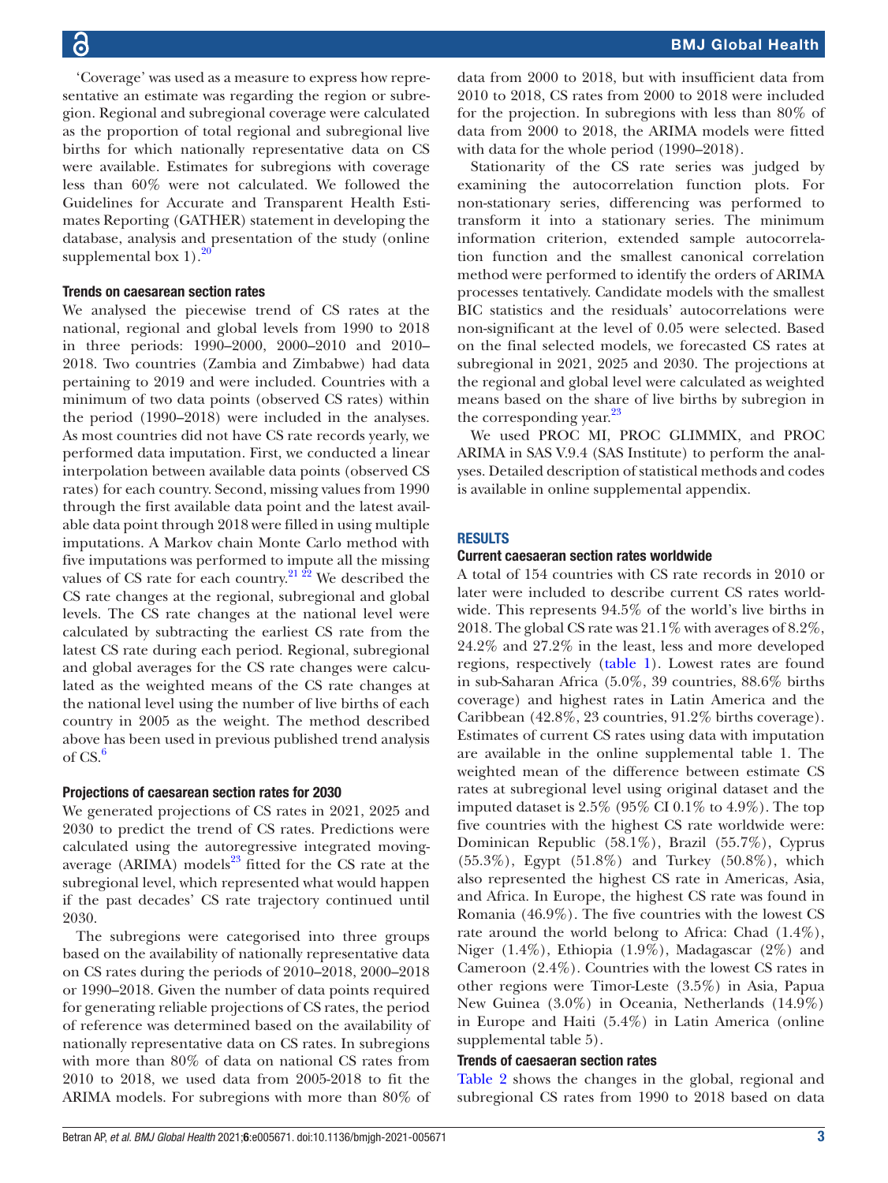'Coverage' was used as a measure to express how representative an estimate was regarding the region or subregion. Regional and subregional coverage were calculated as the proportion of total regional and subregional live births for which nationally representative data on CS were available. Estimates for subregions with coverage less than 60% were not calculated. We followed the Guidelines for Accurate and Transparent Health Estimates Reporting (GATHER) statement in developing the database, analysis and presentation of the study [\(online](https://dx.doi.org/10.1136/bmjgh-2021-005671) supplemental box  $1$ ).<sup>[20](#page-7-12)</sup>

#### Trends on caesarean section rates

We analysed the piecewise trend of CS rates at the national, regional and global levels from 1990 to 2018 in three periods: 1990–2000, 2000–2010 and 2010– 2018. Two countries (Zambia and Zimbabwe) had data pertaining to 2019 and were included. Countries with a minimum of two data points (observed CS rates) within the period (1990–2018) were included in the analyses. As most countries did not have CS rate records yearly, we performed data imputation. First, we conducted a linear interpolation between available data points (observed CS rates) for each country. Second, missing values from 1990 through the first available data point and the latest available data point through 2018 were filled in using multiple imputations. A Markov chain Monte Carlo method with five imputations was performed to impute all the missing values of CS rate for each country.<sup>21  $\overline{22}$ </sup> We described the CS rate changes at the regional, subregional and global levels. The CS rate changes at the national level were calculated by subtracting the earliest CS rate from the latest CS rate during each period. Regional, subregional and global averages for the CS rate changes were calculated as the weighted means of the CS rate changes at the national level using the number of live births of each country in 2005 as the weight. The method described above has been used in previous published trend analysis of  $CS.6$  $CS.6$ 

#### Projections of caesarean section rates for 2030

We generated projections of CS rates in 2021, 2025 and 2030 to predict the trend of CS rates. Predictions were calculated using the autoregressive integrated movingaverage (ARIMA) models $^{23}$  fitted for the CS rate at the subregional level, which represented what would happen if the past decades' CS rate trajectory continued until 2030.

The subregions were categorised into three groups based on the availability of nationally representative data on CS rates during the periods of 2010–2018, 2000–2018 or 1990–2018. Given the number of data points required for generating reliable projections of CS rates, the period of reference was determined based on the availability of nationally representative data on CS rates. In subregions with more than 80% of data on national CS rates from 2010 to 2018, we used data from 2005-2018 to fit the ARIMA models. For subregions with more than 80% of data from 2000 to 2018, but with insufficient data from 2010 to 2018, CS rates from 2000 to 2018 were included for the projection. In subregions with less than 80% of data from 2000 to 2018, the ARIMA models were fitted with data for the whole period (1990–2018).

Stationarity of the CS rate series was judged by examining the autocorrelation function plots. For non-stationary series, differencing was performed to transform it into a stationary series. The minimum information criterion, extended sample autocorrelation function and the smallest canonical correlation method were performed to identify the orders of ARIMA processes tentatively. Candidate models with the smallest BIC statistics and the residuals' autocorrelations were non-significant at the level of 0.05 were selected. Based on the final selected models, we forecasted CS rates at subregional in 2021, 2025 and 2030. The projections at the regional and global level were calculated as weighted means based on the share of live births by subregion in the corresponding year. $^{23}$ 

We used PROC MI, PROC GLIMMIX, and PROC ARIMA in SAS V.9.4 (SAS Institute) to perform the analyses. Detailed description of statistical methods and codes is available in [online supplemental appendix](https://dx.doi.org/10.1136/bmjgh-2021-005671).

#### RESULTS

#### Current caesaeran section rates worldwide

A total of 154 countries with CS rate records in 2010 or later were included to describe current CS rates worldwide. This represents 94.5% of the world's live births in 2018. The global CS rate was 21.1% with averages of 8.2%, 24.2% and 27.2% in the least, less and more developed regions, respectively ([table](#page-3-0) 1). Lowest rates are found in sub-Saharan Africa (5.0%, 39 countries, 88.6% births coverage) and highest rates in Latin America and the Caribbean (42.8%, 23 countries, 91.2% births coverage). Estimates of current CS rates using data with imputation are available in the [online supplemental table 1](https://dx.doi.org/10.1136/bmjgh-2021-005671). The weighted mean of the difference between estimate CS rates at subregional level using original dataset and the imputed dataset is  $2.5\%$  (95% CI 0.1% to 4.9%). The top five countries with the highest CS rate worldwide were: Dominican Republic (58.1%), Brazil (55.7%), Cyprus (55.3%), Egypt (51.8%) and Turkey (50.8%), which also represented the highest CS rate in Americas, Asia, and Africa. In Europe, the highest CS rate was found in Romania (46.9%). The five countries with the lowest CS rate around the world belong to Africa: Chad (1.4%), Niger (1.4%), Ethiopia (1.9%), Madagascar (2%) and Cameroon (2.4%). Countries with the lowest CS rates in other regions were Timor-Leste (3.5%) in Asia, Papua New Guinea (3.0%) in Oceania, Netherlands (14.9%) in Europe and Haiti (5.4%) in Latin America [\(online](https://dx.doi.org/10.1136/bmjgh-2021-005671) [supplemental table 5\)](https://dx.doi.org/10.1136/bmjgh-2021-005671).

#### Trends of caesaeran section rates

[Table](#page-4-0) 2 shows the changes in the global, regional and subregional CS rates from 1990 to 2018 based on data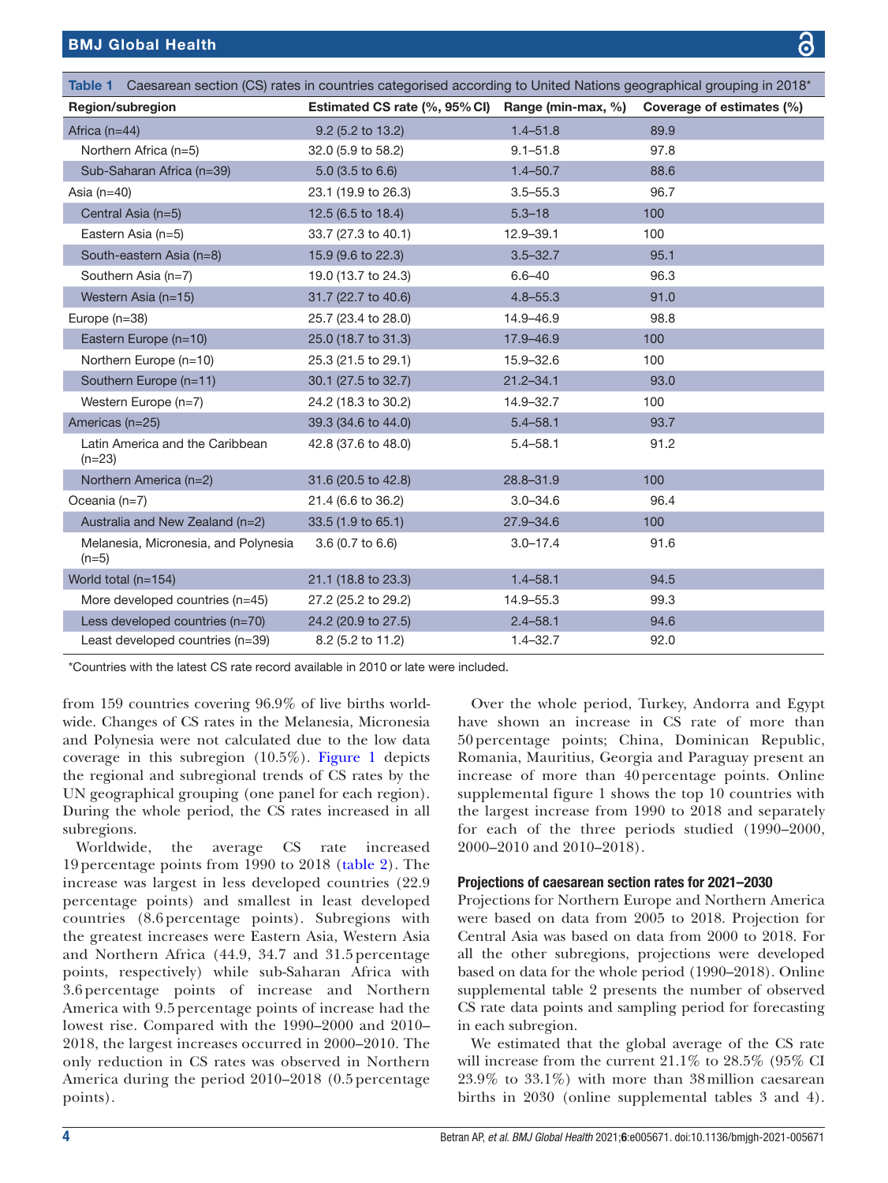<span id="page-3-0"></span>

|                                                 | Table 1 Caesarean section (CS) rates in countries categorised according to United Nations geographical grouping in 2018* |               |                           |  |  |  |  |
|-------------------------------------------------|--------------------------------------------------------------------------------------------------------------------------|---------------|---------------------------|--|--|--|--|
| Region/subregion                                | Estimated CS rate (%, 95% CI) Range (min-max, %)                                                                         |               | Coverage of estimates (%) |  |  |  |  |
| Africa $(n=44)$                                 | 9.2 (5.2 to 13.2)                                                                                                        | $1.4 - 51.8$  | 89.9                      |  |  |  |  |
| Northern Africa (n=5)                           | 32.0 (5.9 to 58.2)                                                                                                       | $9.1 - 51.8$  | 97.8                      |  |  |  |  |
| Sub-Saharan Africa (n=39)                       | $5.0$ (3.5 to 6.6)                                                                                                       | $1.4 - 50.7$  | 88.6                      |  |  |  |  |
| Asia $(n=40)$                                   | 23.1 (19.9 to 26.3)                                                                                                      | $3.5 - 55.3$  | 96.7                      |  |  |  |  |
| Central Asia (n=5)                              | 12.5 (6.5 to 18.4)                                                                                                       | $5.3 - 18$    | 100                       |  |  |  |  |
| Eastern Asia (n=5)                              | 33.7 (27.3 to 40.1)                                                                                                      | 12.9-39.1     | 100                       |  |  |  |  |
| South-eastern Asia (n=8)                        | 15.9 (9.6 to 22.3)                                                                                                       | $3.5 - 32.7$  | 95.1                      |  |  |  |  |
| Southern Asia (n=7)                             | 19.0 (13.7 to 24.3)                                                                                                      | $6.6 - 40$    | 96.3                      |  |  |  |  |
| Western Asia (n=15)                             | 31.7 (22.7 to 40.6)                                                                                                      | $4.8 - 55.3$  | 91.0                      |  |  |  |  |
| Europe $(n=38)$                                 | 25.7 (23.4 to 28.0)                                                                                                      | 14.9-46.9     | 98.8                      |  |  |  |  |
| Eastern Europe (n=10)                           | 25.0 (18.7 to 31.3)                                                                                                      | 17.9-46.9     | 100                       |  |  |  |  |
| Northern Europe (n=10)                          | 25.3 (21.5 to 29.1)                                                                                                      | 15.9-32.6     | 100                       |  |  |  |  |
| Southern Europe (n=11)                          | 30.1 (27.5 to 32.7)                                                                                                      | $21.2 - 34.1$ | 93.0                      |  |  |  |  |
| Western Europe (n=7)                            | 24.2 (18.3 to 30.2)                                                                                                      | 14.9-32.7     | 100                       |  |  |  |  |
| Americas (n=25)                                 | 39.3 (34.6 to 44.0)                                                                                                      | $5.4 - 58.1$  | 93.7                      |  |  |  |  |
| Latin America and the Caribbean<br>$(n=23)$     | 42.8 (37.6 to 48.0)                                                                                                      | $5.4 - 58.1$  | 91.2                      |  |  |  |  |
| Northern America (n=2)                          | 31.6 (20.5 to 42.8)                                                                                                      | $28.8 - 31.9$ | 100                       |  |  |  |  |
| Oceania $(n=7)$                                 | 21.4 (6.6 to 36.2)                                                                                                       | $3.0 - 34.6$  | 96.4                      |  |  |  |  |
| Australia and New Zealand (n=2)                 | 33.5 (1.9 to 65.1)                                                                                                       | $27.9 - 34.6$ | 100                       |  |  |  |  |
| Melanesia, Micronesia, and Polynesia<br>$(n=5)$ | 3.6 (0.7 to 6.6)                                                                                                         | $3.0 - 17.4$  | 91.6                      |  |  |  |  |
| World total (n=154)                             | 21.1 (18.8 to 23.3)                                                                                                      | $1.4 - 58.1$  | 94.5                      |  |  |  |  |
| More developed countries (n=45)                 | 27.2 (25.2 to 29.2)                                                                                                      | 14.9-55.3     | 99.3                      |  |  |  |  |
| Less developed countries (n=70)                 | 24.2 (20.9 to 27.5)                                                                                                      | $2.4 - 58.1$  | 94.6                      |  |  |  |  |
| Least developed countries (n=39)                | 8.2 (5.2 to 11.2)                                                                                                        | $1.4 - 32.7$  | 92.0                      |  |  |  |  |

\*Countries with the latest CS rate record available in 2010 or late were included.

from 159 countries covering 96.9% of live births worldwide. Changes of CS rates in the Melanesia, Micronesia and Polynesia were not calculated due to the low data coverage in this subregion (10.5%). [Figure](#page-5-0) 1 depicts the regional and subregional trends of CS rates by the UN geographical grouping (one panel for each region). During the whole period, the CS rates increased in all subregions.

Worldwide, the average CS rate increased 19 percentage points from 1990 to 2018 ([table](#page-4-0) 2). The increase was largest in less developed countries (22.9 percentage points) and smallest in least developed countries (8.6 percentage points). Subregions with the greatest increases were Eastern Asia, Western Asia and Northern Africa (44.9, 34.7 and 31.5 percentage points, respectively) while sub-Saharan Africa with 3.6 percentage points of increase and Northern America with 9.5 percentage points of increase had the lowest rise. Compared with the 1990–2000 and 2010– 2018, the largest increases occurred in 2000–2010. The only reduction in CS rates was observed in Northern America during the period 2010–2018 (0.5 percentage points).

Over the whole period, Turkey, Andorra and Egypt have shown an increase in CS rate of more than 50 percentage points; China, Dominican Republic, Romania, Mauritius, Georgia and Paraguay present an increase of more than 40 percentage points. [Online](https://dx.doi.org/10.1136/bmjgh-2021-005671) [supplemental figure 1](https://dx.doi.org/10.1136/bmjgh-2021-005671) shows the top 10 countries with the largest increase from 1990 to 2018 and separately for each of the three periods studied (1990–2000, 2000–2010 and 2010–2018).

#### Projections of caesarean section rates for 2021–2030

Projections for Northern Europe and Northern America were based on data from 2005 to 2018. Projection for Central Asia was based on data from 2000 to 2018. For all the other subregions, projections were developed based on data for the whole period (1990–2018). [Online](https://dx.doi.org/10.1136/bmjgh-2021-005671) [supplemental table 2](https://dx.doi.org/10.1136/bmjgh-2021-005671) presents the number of observed CS rate data points and sampling period for forecasting in each subregion.

We estimated that the global average of the CS rate will increase from the current 21.1% to 28.5% (95% CI 23.9% to 33.1%) with more than 38million caesarean births in 2030 [\(online supplemental tables 3 and 4](https://dx.doi.org/10.1136/bmjgh-2021-005671)).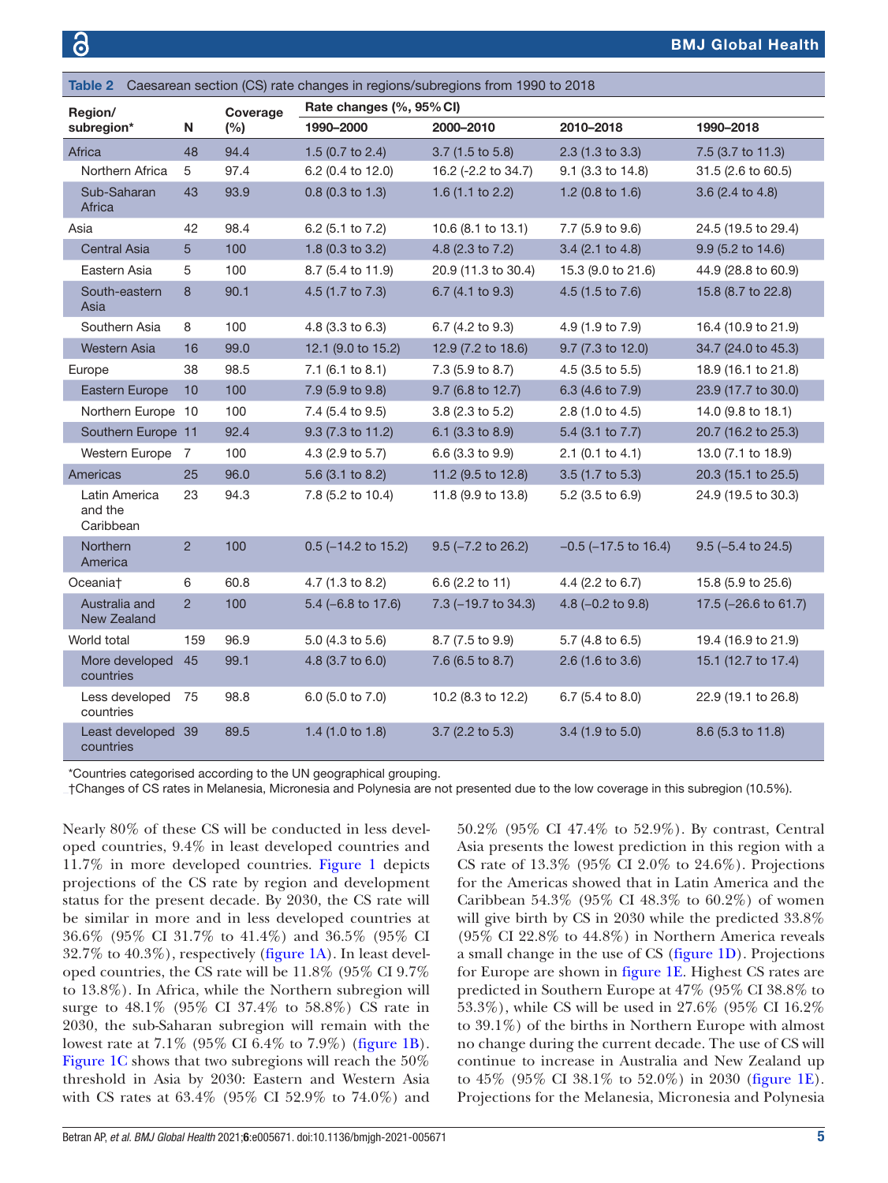<span id="page-4-0"></span>

| Table 2 Caesarean section (CS) rate changes in regions/subregions from 1990 to 2018 |                                       |                |                 |                          |                         |                           |                      |  |  |
|-------------------------------------------------------------------------------------|---------------------------------------|----------------|-----------------|--------------------------|-------------------------|---------------------------|----------------------|--|--|
| Region/<br>subregion*<br>Ν                                                          |                                       |                | Coverage<br>(%) | Rate changes (%, 95% CI) |                         |                           |                      |  |  |
|                                                                                     |                                       |                |                 | 1990-2000                | 2000-2010               | 2010-2018                 | 1990-2018            |  |  |
|                                                                                     | Africa                                | 48             | 94.4            | 1.5 (0.7 to 2.4)         | 3.7 (1.5 to 5.8)        | 2.3 (1.3 to 3.3)          | 7.5 (3.7 to 11.3)    |  |  |
|                                                                                     | Northern Africa                       | 5              | 97.4            | 6.2 (0.4 to 12.0)        | 16.2 (-2.2 to 34.7)     | 9.1 (3.3 to 14.8)         | 31.5 (2.6 to 60.5)   |  |  |
|                                                                                     | Sub-Saharan<br>Africa                 | 43             | 93.9            | $0.8$ (0.3 to 1.3)       | 1.6 $(1.1$ to 2.2)      | 1.2 (0.8 to 1.6)          | 3.6 (2.4 to 4.8)     |  |  |
|                                                                                     | Asia                                  | 42             | 98.4            | 6.2 (5.1 to 7.2)         | 10.6 (8.1 to 13.1)      | 7.7 (5.9 to 9.6)          | 24.5 (19.5 to 29.4)  |  |  |
|                                                                                     | Central Asia                          | 5              | 100             | 1.8 (0.3 to 3.2)         | 4.8 (2.3 to 7.2)        | 3.4 (2.1 to 4.8)          | 9.9 (5.2 to 14.6)    |  |  |
|                                                                                     | Eastern Asia                          | 5              | 100             | 8.7 (5.4 to 11.9)        | 20.9 (11.3 to 30.4)     | 15.3 (9.0 to 21.6)        | 44.9 (28.8 to 60.9)  |  |  |
|                                                                                     | South-eastern<br>Asia                 | 8              | 90.1            | 4.5 (1.7 to 7.3)         | 6.7 (4.1 to 9.3)        | 4.5 (1.5 to 7.6)          | 15.8 (8.7 to 22.8)   |  |  |
|                                                                                     | Southern Asia                         | 8              | 100             | 4.8 (3.3 to 6.3)         | 6.7 (4.2 to 9.3)        | 4.9 (1.9 to 7.9)          | 16.4 (10.9 to 21.9)  |  |  |
|                                                                                     | <b>Western Asia</b>                   | 16             | 99.0            | 12.1 (9.0 to 15.2)       | 12.9 (7.2 to 18.6)      | 9.7 (7.3 to 12.0)         | 34.7 (24.0 to 45.3)  |  |  |
|                                                                                     | Europe                                | 38             | 98.5            | 7.1 (6.1 to 8.1)         | 7.3 (5.9 to 8.7)        | 4.5 (3.5 to 5.5)          | 18.9 (16.1 to 21.8)  |  |  |
|                                                                                     | Eastern Europe                        | 10             | 100             | 7.9 (5.9 to 9.8)         | 9.7 (6.8 to 12.7)       | 6.3 (4.6 to 7.9)          | 23.9 (17.7 to 30.0)  |  |  |
|                                                                                     | Northern Europe 10                    |                | 100             | 7.4 (5.4 to 9.5)         | 3.8 (2.3 to 5.2)        | 2.8 (1.0 to 4.5)          | 14.0 (9.8 to 18.1)   |  |  |
|                                                                                     | Southern Europe 11                    |                | 92.4            | 9.3 (7.3 to 11.2)        | 6.1 (3.3 to 8.9)        | 5.4 (3.1 to 7.7)          | 20.7 (16.2 to 25.3)  |  |  |
|                                                                                     | Western Europe 7                      |                | 100             | 4.3 (2.9 to 5.7)         | 6.6 (3.3 to 9.9)        | $2.1$ (0.1 to 4.1)        | 13.0 (7.1 to 18.9)   |  |  |
|                                                                                     | Americas                              | 25             | 96.0            | 5.6 (3.1 to 8.2)         | 11.2 (9.5 to 12.8)      | 3.5 (1.7 to 5.3)          | 20.3 (15.1 to 25.5)  |  |  |
|                                                                                     | Latin America<br>and the<br>Caribbean | 23             | 94.3            | 7.8 (5.2 to 10.4)        | 11.8 (9.9 to 13.8)      | 5.2 (3.5 to 6.9)          | 24.9 (19.5 to 30.3)  |  |  |
|                                                                                     | Northern<br>America                   | $\overline{c}$ | 100             | $0.5$ (-14.2 to 15.2)    | $9.5$ ( $-7.2$ to 26.2) | $-0.5$ ( $-17.5$ to 16.4) | $9.5$ (-5.4 to 24.5) |  |  |
|                                                                                     | Oceania†                              | 6              | 60.8            | 4.7 (1.3 to 8.2)         | 6.6 (2.2 to 11)         | 4.4 (2.2 to 6.7)          | 15.8 (5.9 to 25.6)   |  |  |
|                                                                                     | Australia and<br>New Zealand          | $\overline{2}$ | 100             | $5.4$ (-6.8 to 17.6)     | 7.3 (-19.7 to 34.3)     | 4.8 $(-0.2$ to 9.8)       | 17.5 (-26.6 to 61.7) |  |  |
|                                                                                     | World total                           | 159            | 96.9            | 5.0 (4.3 to 5.6)         | 8.7 (7.5 to 9.9)        | 5.7 (4.8 to 6.5)          | 19.4 (16.9 to 21.9)  |  |  |
|                                                                                     | More developed<br>countries           | 45             | 99.1            | 4.8 (3.7 to 6.0)         | 7.6 (6.5 to 8.7)        | 2.6 (1.6 to 3.6)          | 15.1 (12.7 to 17.4)  |  |  |
|                                                                                     | Less developed<br>countries           | 75             | 98.8            | 6.0 (5.0 to 7.0)         | 10.2 (8.3 to 12.2)      | 6.7 (5.4 to 8.0)          | 22.9 (19.1 to 26.8)  |  |  |
|                                                                                     | Least developed 39<br>countries       |                | 89.5            | 1.4 $(1.0 to 1.8)$       | 3.7 (2.2 to 5.3)        | 3.4 (1.9 to 5.0)          | 8.6 (5.3 to 11.8)    |  |  |

\*Countries categorised according to the UN geographical grouping.

†Changes of CS rates in Melanesia, Micronesia and Polynesia are not presented due to the low coverage in this subregion (10.5%).

Nearly 80% of these CS will be conducted in less developed countries, 9.4% in least developed countries and 11.7% in more developed countries. [Figure](#page-5-0) 1 depicts projections of the CS rate by region and development status for the present decade. By 2030, the CS rate will be similar in more and in less developed countries at 36.6% (95% CI 31.7% to 41.4%) and 36.5% (95% CI 32.7% to 40.3%), respectively [\(figure](#page-5-0) 1A). In least developed countries, the CS rate will be 11.8% (95% CI 9.7% to 13.8%). In Africa, while the Northern subregion will surge to 48.1% (95% CI 37.4% to 58.8%) CS rate in 2030, the sub-Saharan subregion will remain with the lowest rate at 7.1% (95% CI 6.4% to 7.9%) [\(figure](#page-5-0) 1B). [Figure](#page-5-0) 1C shows that two subregions will reach the 50% threshold in Asia by 2030: Eastern and Western Asia with CS rates at 63.4% (95% CI 52.9% to 74.0%) and

50.2% (95% CI 47.4% to 52.9%). By contrast, Central Asia presents the lowest prediction in this region with a CS rate of 13.3% (95% CI 2.0% to 24.6%). Projections for the Americas showed that in Latin America and the Caribbean 54.3% (95% CI 48.3% to 60.2%) of women will give birth by CS in 2030 while the predicted 33.8% (95% CI 22.8% to 44.8%) in Northern America reveals a small change in the use of CS [\(figure](#page-5-0) 1D). Projections for Europe are shown in [figure](#page-5-0) 1E. Highest CS rates are predicted in Southern Europe at 47% (95% CI 38.8% to 53.3%), while CS will be used in 27.6% (95% CI 16.2% to 39.1%) of the births in Northern Europe with almost no change during the current decade. The use of CS will continue to increase in Australia and New Zealand up to 45% (95% CI 38.1% to 52.0%) in 2030 ([figure](#page-5-0) 1E). Projections for the Melanesia, Micronesia and Polynesia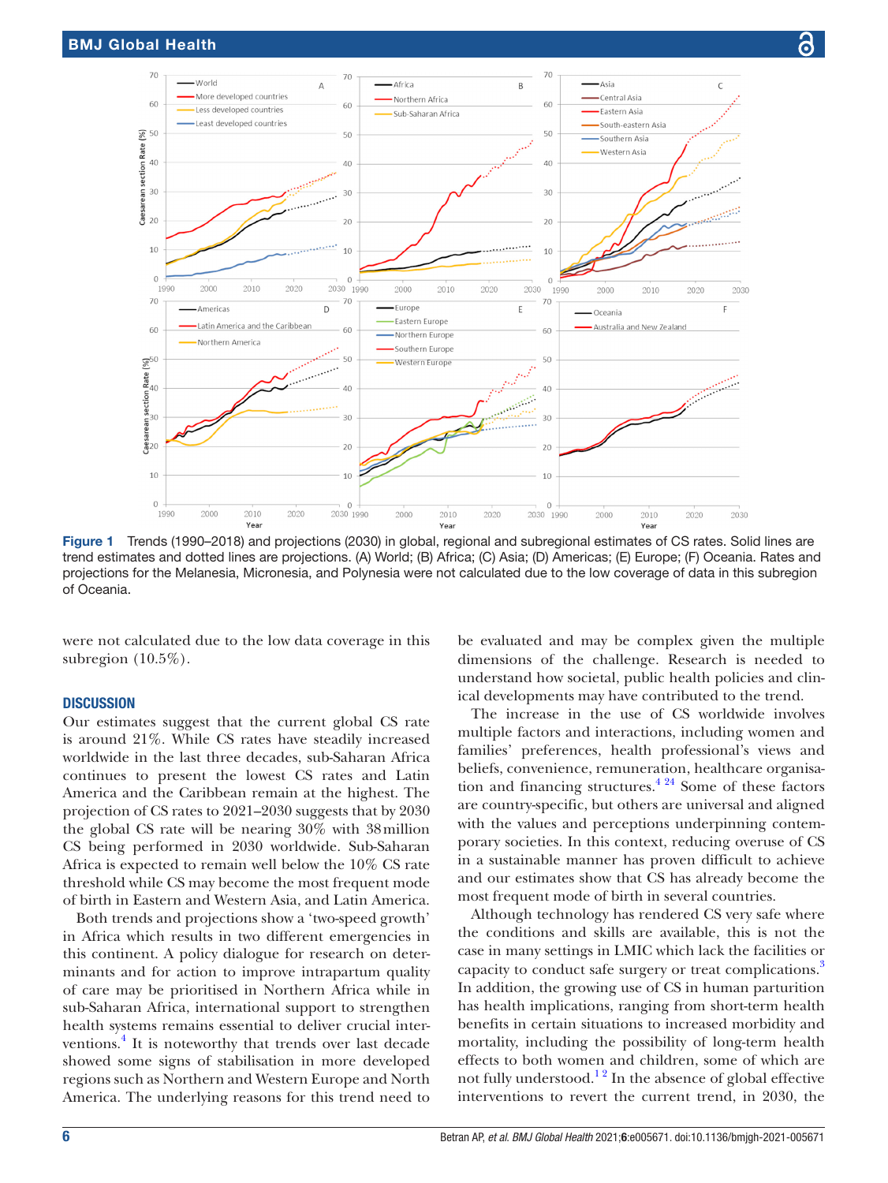

<span id="page-5-0"></span>Figure 1 Trends (1990–2018) and projections (2030) in global, regional and subregional estimates of CS rates. Solid lines are trend estimates and dotted lines are projections. (A) World; (B) Africa; (C) Asia; (D) Americas; (E) Europe; (F) Oceania. Rates and projections for the Melanesia, Micronesia, and Polynesia were not calculated due to the low coverage of data in this subregion of Oceania.

were not calculated due to the low data coverage in this subregion (10.5%).

#### **DISCUSSION**

Our estimates suggest that the current global CS rate is around 21%. While CS rates have steadily increased worldwide in the last three decades, sub-Saharan Africa continues to present the lowest CS rates and Latin America and the Caribbean remain at the highest. The projection of CS rates to 2021–2030 suggests that by 2030 the global CS rate will be nearing 30% with 38million CS being performed in 2030 worldwide. Sub-Saharan Africa is expected to remain well below the 10% CS rate threshold while CS may become the most frequent mode of birth in Eastern and Western Asia, and Latin America.

Both trends and projections show a 'two-speed growth' in Africa which results in two different emergencies in this continent. A policy dialogue for research on determinants and for action to improve intrapartum quality of care may be prioritised in Northern Africa while in sub-Saharan Africa, international support to strengthen health systems remains essential to deliver crucial interventions.<sup>4</sup> It is noteworthy that trends over last decade showed some signs of stabilisation in more developed regions such as Northern and Western Europe and North America. The underlying reasons for this trend need to

be evaluated and may be complex given the multiple dimensions of the challenge. Research is needed to understand how societal, public health policies and clinical developments may have contributed to the trend.

The increase in the use of CS worldwide involves multiple factors and interactions, including women and families' preferences, health professional's views and beliefs, convenience, remuneration, healthcare organisation and financing structures. $4^{24}$  Some of these factors are country-specific, but others are universal and aligned with the values and perceptions underpinning contemporary societies. In this context, reducing overuse of CS in a sustainable manner has proven difficult to achieve and our estimates show that CS has already become the most frequent mode of birth in several countries.

Although technology has rendered CS very safe where the conditions and skills are available, this is not the case in many settings in LMIC which lack the facilities or capacity to conduct safe surgery or treat complications.<sup>[3](#page-7-15)</sup> In addition, the growing use of CS in human parturition has health implications, ranging from short-term health benefits in certain situations to increased morbidity and mortality, including the possibility of long-term health effects to both women and children, some of which are not fully understood.<sup>12</sup> In the absence of global effective interventions to revert the current trend, in 2030, the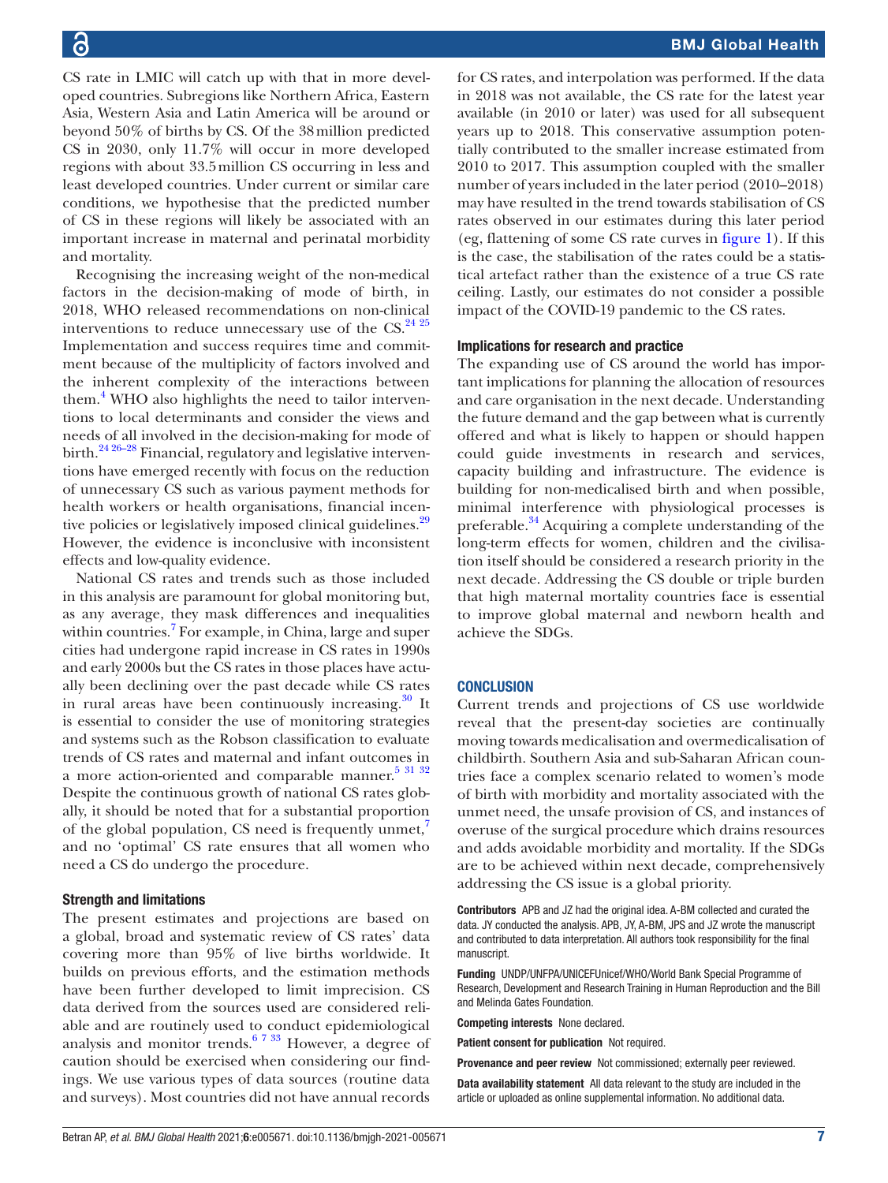CS rate in LMIC will catch up with that in more developed countries. Subregions like Northern Africa, Eastern Asia, Western Asia and Latin America will be around or beyond 50% of births by CS. Of the 38million predicted CS in 2030, only 11.7% will occur in more developed regions with about 33.5million CS occurring in less and least developed countries. Under current or similar care conditions, we hypothesise that the predicted number of CS in these regions will likely be associated with an important increase in maternal and perinatal morbidity and mortality.

Recognising the increasing weight of the non-medical factors in the decision-making of mode of birth, in 2018, WHO released recommendations on non-clinical interventions to reduce unnecessary use of the  $CS.<sup>24-25</sup>$ Implementation and success requires time and commitment because of the multiplicity of factors involved and the inherent complexity of the interactions between them.<sup>[4](#page-7-1)</sup> WHO also highlights the need to tailor interventions to local determinants and consider the views and needs of all involved in the decision-making for mode of birth.<sup>24 26–28</sup> Financial, regulatory and legislative interventions have emerged recently with focus on the reduction of unnecessary CS such as various payment methods for health workers or health organisations, financial incen-tive policies or legislatively imposed clinical guidelines.<sup>[29](#page-7-17)</sup> However, the evidence is inconclusive with inconsistent effects and low-quality evidence.

National CS rates and trends such as those included in this analysis are paramount for global monitoring but, as any average, they mask differences and inequalities within countries.<sup>[7](#page-7-18)</sup> For example, in China, large and super cities had undergone rapid increase in CS rates in 1990s and early 2000s but the CS rates in those places have actually been declining over the past decade while CS rates in rural areas have been continuously increasing. $30$  It is essential to consider the use of monitoring strategies and systems such as the Robson classification to evaluate trends of CS rates and maternal and infant outcomes in a more action-oriented and comparable manner. $5\frac{31\ 32}$ Despite the continuous growth of national CS rates globally, it should be noted that for a substantial proportion of the global population, CS need is frequently unmet, $^7$  $^7$ and no 'optimal' CS rate ensures that all women who need a CS do undergo the procedure.

#### Strength and limitations

The present estimates and projections are based on a global, broad and systematic review of CS rates' data covering more than 95% of live births worldwide. It builds on previous efforts, and the estimation methods have been further developed to limit imprecision. CS data derived from the sources used are considered reliable and are routinely used to conduct epidemiological analysis and monitor trends.<sup>[6 7 33](#page-7-2)</sup> However, a degree of caution should be exercised when considering our findings. We use various types of data sources (routine data and surveys). Most countries did not have annual records

for CS rates, and interpolation was performed. If the data in 2018 was not available, the CS rate for the latest year available (in 2010 or later) was used for all subsequent years up to 2018. This conservative assumption potentially contributed to the smaller increase estimated from 2010 to 2017. This assumption coupled with the smaller number of years included in the later period (2010–2018) may have resulted in the trend towards stabilisation of CS rates observed in our estimates during this later period (eg, flattening of some CS rate curves in [figure](#page-5-0) 1). If this is the case, the stabilisation of the rates could be a statistical artefact rather than the existence of a true CS rate ceiling. Lastly, our estimates do not consider a possible impact of the COVID-19 pandemic to the CS rates.

#### Implications for research and practice

The expanding use of CS around the world has important implications for planning the allocation of resources and care organisation in the next decade. Understanding the future demand and the gap between what is currently offered and what is likely to happen or should happen could guide investments in research and services, capacity building and infrastructure. The evidence is building for non-medicalised birth and when possible, minimal interference with physiological processes is preferable.<sup>34</sup> Acquiring a complete understanding of the long-term effects for women, children and the civilisation itself should be considered a research priority in the next decade. Addressing the CS double or triple burden that high maternal mortality countries face is essential to improve global maternal and newborn health and achieve the SDGs.

#### **CONCLUSION**

Current trends and projections of CS use worldwide reveal that the present-day societies are continually moving towards medicalisation and overmedicalisation of childbirth. Southern Asia and sub-Saharan African countries face a complex scenario related to women's mode of birth with morbidity and mortality associated with the unmet need, the unsafe provision of CS, and instances of overuse of the surgical procedure which drains resources and adds avoidable morbidity and mortality. If the SDGs are to be achieved within next decade, comprehensively addressing the CS issue is a global priority.

Contributors APB and JZ had the original idea. A-BM collected and curated the data. JY conducted the analysis. APB, JY, A-BM, JPS and JZ wrote the manuscript and contributed to data interpretation. All authors took responsibility for the final manuscript.

Funding UNDP/UNFPA/UNICEFUnicef/WHO/World Bank Special Programme of Research, Development and Research Training in Human Reproduction and the Bill and Melinda Gates Foundation.

Competing interests None declared.

Patient consent for publication Not required.

Provenance and peer review Not commissioned; externally peer reviewed.

Data availability statement All data relevant to the study are included in the article or uploaded as online supplemental information. No additional data.